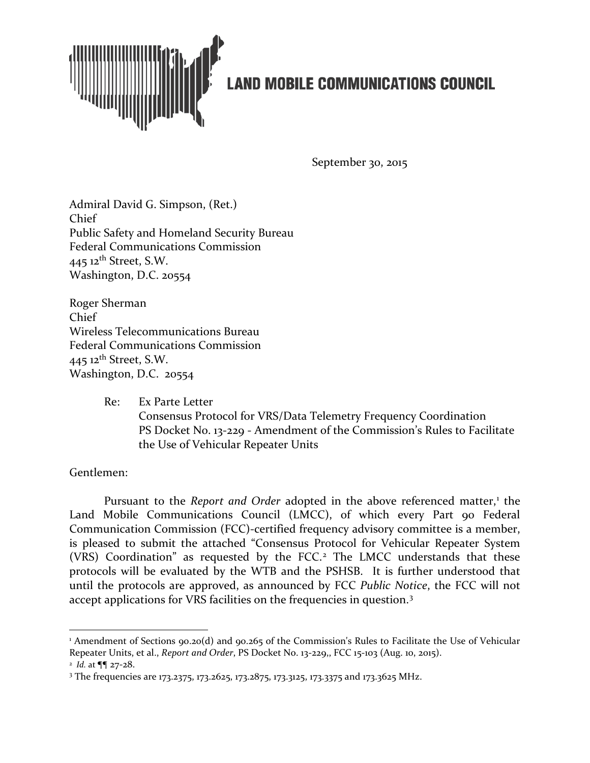

September 30, 2015

Admiral David G. Simpson, (Ret.) Chief Public Safety and Homeland Security Bureau Federal Communications Commission  $445$  12<sup>th</sup> Street, S.W. Washington, D.C. 20554

Roger Sherman Chief Wireless Telecommunications Bureau Federal Communications Commission 445  $12$ <sup>th</sup> Street, S.W. Washington, D.C. 20554

> Re: Ex Parte Letter Consensus Protocol for VRS/Data Telemetry Frequency Coordination PS Docket No. 13-229 - Amendment of the Commission's Rules to Facilitate the Use of Vehicular Repeater Units

Gentlemen:

l

Pursuant to the *Report and Order* adopted in the above referenced matter,<sup>[1](#page-0-0)</sup> the Land Mobile Communications Council (LMCC), of which every Part 90 Federal Communication Commission (FCC)-certified frequency advisory committee is a member, is pleased to submit the attached "Consensus Protocol for Vehicular Repeater System (VRS) Coordination" as requested by the FCC.<sup>[2](#page-0-1)</sup> The LMCC understands that these protocols will be evaluated by the WTB and the PSHSB. It is further understood that until the protocols are approved, as announced by FCC *Public Notice*, the FCC will not accept applications for VRS facilities on the frequencies in question.<sup>[3](#page-0-2)</sup>

<span id="page-0-0"></span><sup>&</sup>lt;sup>1</sup> Amendment of Sections 90.20(d) and 90.265 of the Commission's Rules to Facilitate the Use of Vehicular Repeater Units, et al., *Report and Order*, PS Docket No. 13-229,, FCC 15-103 (Aug. 10, 2015). 2 *Id.* at ¶¶ 27-28.

<span id="page-0-2"></span><span id="page-0-1"></span><sup>&</sup>lt;sup>3</sup> The frequencies are 173.2375, 173.2625, 173.2875, 173.3125, 173.3375 and 173.3625 MHz.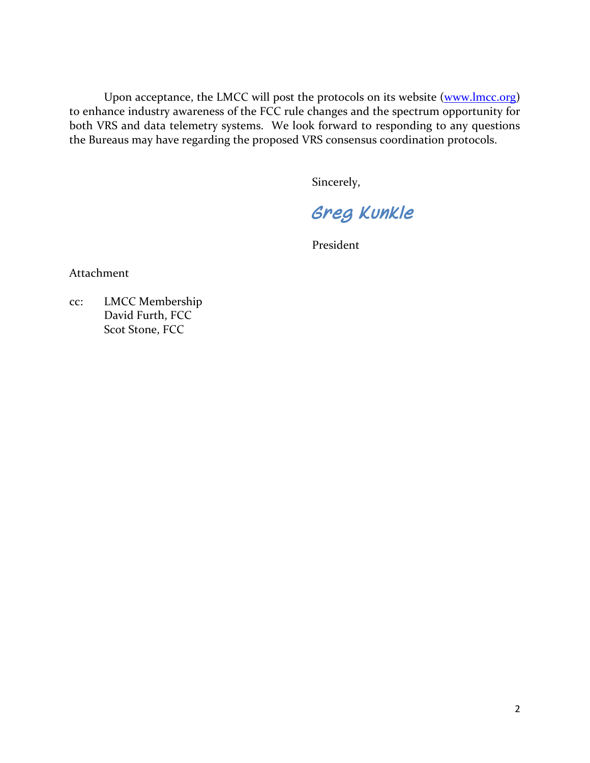Upon acceptance, the LMCC will post the protocols on its website [\(www.lmcc.org\)](http://www.lmcc.org/) to enhance industry awareness of the FCC rule changes and the spectrum opportunity for both VRS and data telemetry systems. We look forward to responding to any questions the Bureaus may have regarding the proposed VRS consensus coordination protocols.

Sincerely,

*Greg Kunkle* 

President

Attachment

cc: LMCC Membership David Furth, FCC Scot Stone, FCC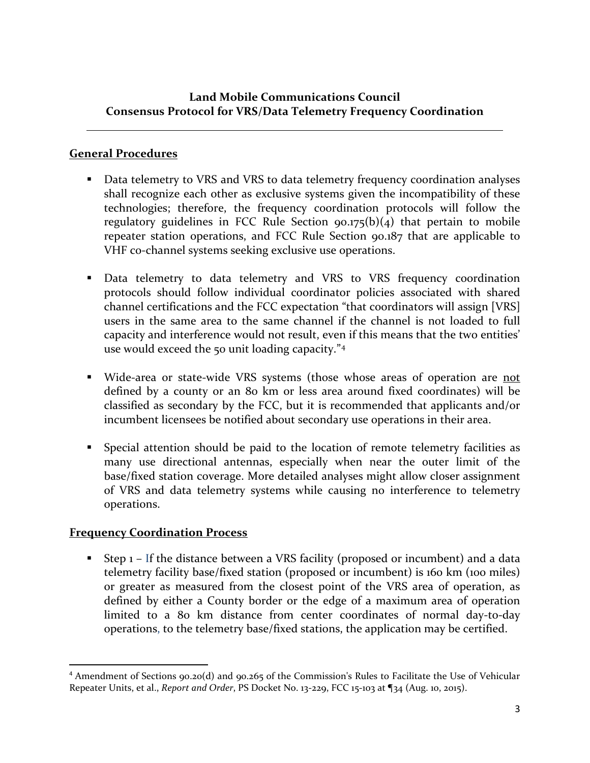## **Land Mobile Communications Council Consensus Protocol for VRS/Data Telemetry Frequency Coordination**

## **General Procedures**

- Data telemetry to VRS and VRS to data telemetry frequency coordination analyses shall recognize each other as exclusive systems given the incompatibility of these technologies; therefore, the frequency coordination protocols will follow the regulatory guidelines in FCC Rule Section  $90.175(b)(4)$  that pertain to mobile repeater station operations, and FCC Rule Section 90.187 that are applicable to VHF co-channel systems seeking exclusive use operations.
- Data telemetry to data telemetry and VRS to VRS frequency coordination protocols should follow individual coordinator policies associated with shared channel certifications and the FCC expectation "that coordinators will assign [VRS] users in the same area to the same channel if the channel is not loaded to full capacity and interference would not result, even if this means that the two entities' use would exceed the 50 unit loading capacity."[4](#page-2-0)
- Wide-area or state-wide VRS systems (those whose areas of operation are not defined by a county or an 80 km or less area around fixed coordinates) will be classified as secondary by the FCC, but it is recommended that applicants and/or incumbent licensees be notified about secondary use operations in their area.
- Special attention should be paid to the location of remote telemetry facilities as many use directional antennas, especially when near the outer limit of the base/fixed station coverage. More detailed analyses might allow closer assignment of VRS and data telemetry systems while causing no interference to telemetry operations.

## **Frequency Coordination Process**

Step  $1$  – If the distance between a VRS facility (proposed or incumbent) and a data telemetry facility base/fixed station (proposed or incumbent) is 160 km (100 miles) or greater as measured from the closest point of the VRS area of operation, as defined by either a County border or the edge of a maximum area of operation limited to a 80 km distance from center coordinates of normal day-to-day operations, to the telemetry base/fixed stations, the application may be certified.

<span id="page-2-0"></span> <sup>4</sup> Amendment of Sections 90.20(d) and 90.265 of the Commission's Rules to Facilitate the Use of Vehicular Repeater Units, et al., *Report and Order*, PS Docket No. 13-229, FCC 15-103 at ¶34 (Aug. 10, 2015).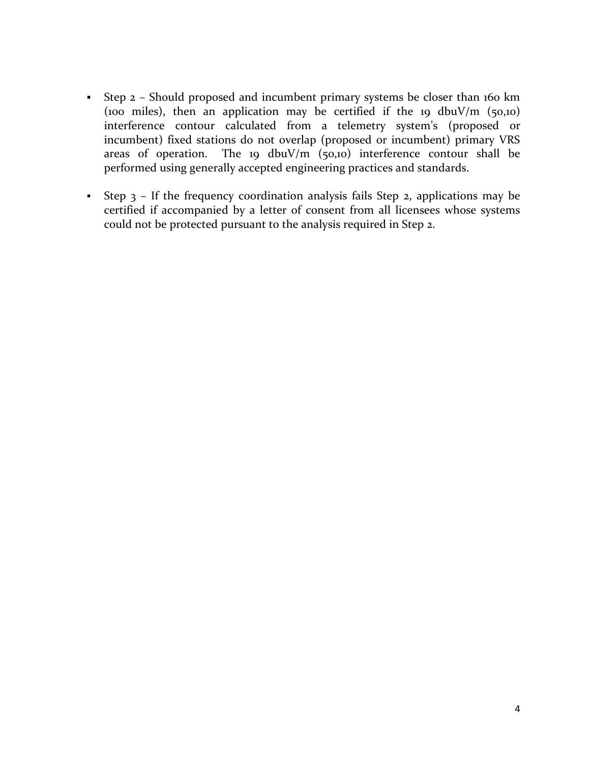- Step 2 Should proposed and incumbent primary systems be closer than 160 km (100 miles), then an application may be certified if the 19 dbuV/m (50,10) interference contour calculated from a telemetry system's (proposed or incumbent) fixed stations do not overlap (proposed or incumbent) primary VRS areas of operation. The 19 dbuV/m  $(50,10)$  interference contour shall be performed using generally accepted engineering practices and standards.
- Step  $3$  If the frequency coordination analysis fails Step 2, applications may be certified if accompanied by a letter of consent from all licensees whose systems could not be protected pursuant to the analysis required in Step 2.